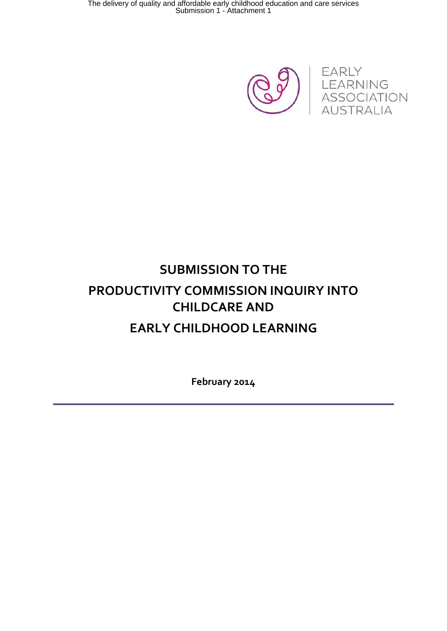

# **SUBMISSION TO THE PRODUCTIVITY COMMISSION INQUIRY INTO CHILDCARE AND EARLY CHILDHOOD LEARNING**

**February 2014**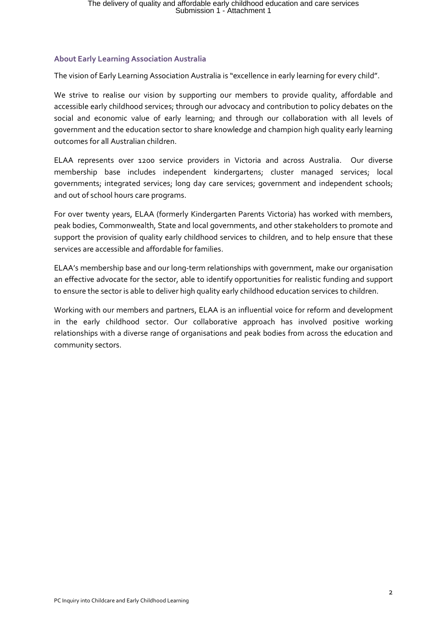#### **About Early Learning Association Australia**

The vision of Early Learning Association Australia is "excellence in early learning for every child".

We strive to realise our vision by supporting our members to provide quality, affordable and accessible early childhood services; through our advocacy and contribution to policy debates on the social and economic value of early learning; and through our collaboration with all levels of government and the education sector to share knowledge and champion high quality early learning outcomes for all Australian children.

ELAA represents over 1200 service providers in Victoria and across Australia. Our diverse membership base includes independent kindergartens; cluster managed services; local governments; integrated services; long day care services; government and independent schools; and out of school hours care programs.

For over twenty years, ELAA (formerly Kindergarten Parents Victoria) has worked with members, peak bodies, Commonwealth, State and local governments, and other stakeholders to promote and support the provision of quality early childhood services to children, and to help ensure that these services are accessible and affordable for families.

ELAA's membership base and our long-term relationships with government, make our organisation an effective advocate for the sector, able to identify opportunities for realistic funding and support to ensure the sector is able to deliver high quality early childhood education services to children.

Working with our members and partners, ELAA is an influential voice for reform and development in the early childhood sector. Our collaborative approach has involved positive working relationships with a diverse range of organisations and peak bodies from across the education and community sectors.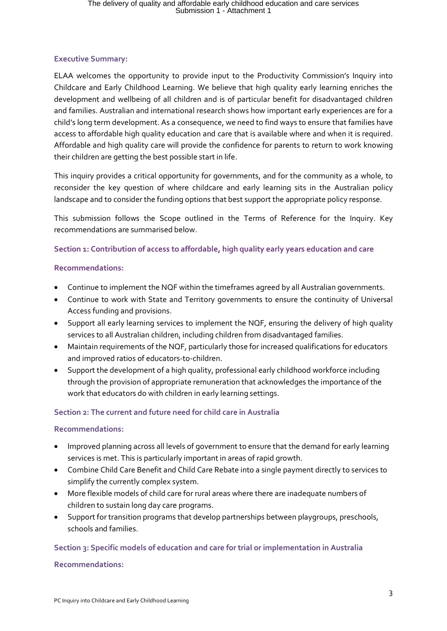#### **Executive Summary:**

ELAA welcomes the opportunity to provide input to the Productivity Commission's Inquiry into Childcare and Early Childhood Learning. We believe that high quality early learning enriches the development and wellbeing of all children and is of particular benefit for disadvantaged children and families. Australian and international research shows how important early experiences are for a child's long term development. As a consequence, we need to find ways to ensure that families have access to affordable high quality education and care that is available where and when it is required. Affordable and high quality care will provide the confidence for parents to return to work knowing their children are getting the best possible start in life.

This inquiry provides a critical opportunity for governments, and for the community as a whole, to reconsider the key question of where childcare and early learning sits in the Australian policy landscape and to consider the funding options that best support the appropriate policy response.

This submission follows the Scope outlined in the Terms of Reference for the Inquiry. Key recommendations are summarised below.

#### **Section 1: Contribution of access to affordable, high quality early years education and care**

#### **Recommendations:**

- Continue to implement the NQF within the timeframes agreed by all Australian governments.
- Continue to work with State and Territory governments to ensure the continuity of Universal Access funding and provisions.
- Support all early learning services to implement the NQF, ensuring the delivery of high quality services to all Australian children, including children from disadvantaged families.
- Maintain requirements of the NQF, particularly those for increased qualifications for educators and improved ratios of educators-to-children.
- Support the development of a high quality, professional early childhood workforce including through the provision of appropriate remuneration that acknowledges the importance of the work that educators do with children in early learning settings.

#### **Section 2: The current and future need for child care in Australia**

#### **Recommendations:**

- Improved planning across all levels of government to ensure that the demand for early learning services is met. This is particularly important in areas of rapid growth.
- Combine Child Care Benefit and Child Care Rebate into a single payment directly to services to simplify the currently complex system.
- More flexible models of child care for rural areas where there are inadequate numbers of children to sustain long day care programs.
- Support for transition programs that develop partnerships between playgroups, preschools, schools and families.

#### **Section 3: Specific models of education and care for trial or implementation in Australia**

#### **Recommendations:**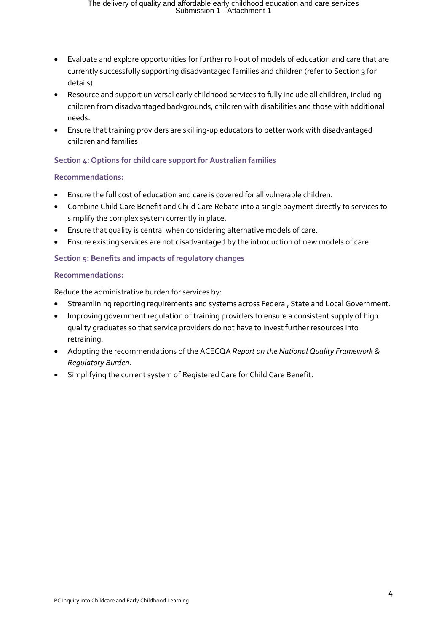- Evaluate and explore opportunities for further roll-out of models of education and care that are currently successfully supporting disadvantaged families and children (refer to Section 3 for details).
- Resource and support universal early childhood services to fully include all children, including children from disadvantaged backgrounds, children with disabilities and those with additional needs.
- Ensure that training providers are skilling-up educators to better work with disadvantaged children and families.

#### **Section 4: Options for child care support for Australian families**

#### **Recommendations:**

- Ensure the full cost of education and care is covered for all vulnerable children.
- Combine Child Care Benefit and Child Care Rebate into a single payment directly to services to simplify the complex system currently in place.
- Ensure that quality is central when considering alternative models of care.
- Ensure existing services are not disadvantaged by the introduction of new models of care.

#### **Section 5: Benefits and impacts of regulatory changes**

#### **Recommendations:**

Reduce the administrative burden for services by:

- Streamlining reporting requirements and systems across Federal, State and Local Government.
- Improving government regulation of training providers to ensure a consistent supply of high quality graduates so that service providers do not have to invest further resources into retraining.
- Adopting the recommendations of the ACECQA *Report on the National Quality Framework & Regulatory Burden.*
- Simplifying the current system of Registered Care for Child Care Benefit.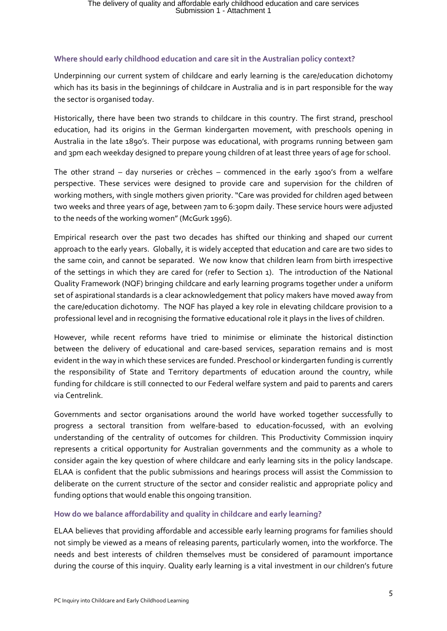#### **Where should early childhood education and care sit in the Australian policy context?**

Underpinning our current system of childcare and early learning is the care/education dichotomy which has its basis in the beginnings of childcare in Australia and is in part responsible for the way the sector is organised today.

Historically, there have been two strands to childcare in this country. The first strand, preschool education, had its origins in the German kindergarten movement, with preschools opening in Australia in the late 1890's. Their purpose was educational, with programs running between 9am and 3pm each weekday designed to prepare young children of at least three years of age for school.

The other strand – day nurseries or crèches – commenced in the early 1900's from a welfare perspective. These services were designed to provide care and supervision for the children of working mothers, with single mothers given priority. "Care was provided for children aged between two weeks and three years of age, between 7am to 6:30pm daily. These service hours were adjusted to the needs of the working women" (McGurk 1996).

Empirical research over the past two decades has shifted our thinking and shaped our current approach to the early years. Globally, it is widely accepted that education and care are two sides to the same coin, and cannot be separated. We now know that children learn from birth irrespective of the settings in which they are cared for (refer to Section 1). The introduction of the National Quality Framework (NQF) bringing childcare and early learning programs together under a uniform set of aspirational standards is a clear acknowledgement that policy makers have moved away from the care/education dichotomy. The NQF has played a key role in elevating childcare provision to a professional level and in recognising the formative educational role it plays in the lives of children.

However, while recent reforms have tried to minimise or eliminate the historical distinction between the delivery of educational and care-based services, separation remains and is most evident in the way in which these services are funded. Preschool or kindergarten funding is currently the responsibility of State and Territory departments of education around the country, while funding for childcare is still connected to our Federal welfare system and paid to parents and carers via Centrelink.

Governments and sector organisations around the world have worked together successfully to progress a sectoral transition from welfare-based to education-focussed, with an evolving understanding of the centrality of outcomes for children. This Productivity Commission inquiry represents a critical opportunity for Australian governments and the community as a whole to consider again the key question of where childcare and early learning sits in the policy landscape. ELAA is confident that the public submissions and hearings process will assist the Commission to deliberate on the current structure of the sector and consider realistic and appropriate policy and funding options that would enable this ongoing transition.

#### **How do we balance affordability and quality in childcare and early learning?**

ELAA believes that providing affordable and accessible early learning programs for families should not simply be viewed as a means of releasing parents, particularly women, into the workforce. The needs and best interests of children themselves must be considered of paramount importance during the course of this inquiry. Quality early learning is a vital investment in our children's future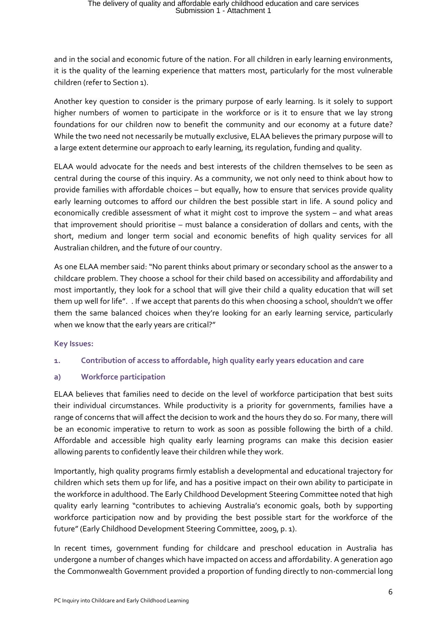and in the social and economic future of the nation. For all children in early learning environments, it is the quality of the learning experience that matters most, particularly for the most vulnerable children (refer to Section 1).

Another key question to consider is the primary purpose of early learning. Is it solely to support higher numbers of women to participate in the workforce or is it to ensure that we lay strong foundations for our children now to benefit the community and our economy at a future date? While the two need not necessarily be mutually exclusive, ELAA believes the primary purpose will to a large extent determine our approach to early learning, its regulation, funding and quality.

ELAA would advocate for the needs and best interests of the children themselves to be seen as central during the course of this inquiry. As a community, we not only need to think about how to provide families with affordable choices – but equally, how to ensure that services provide quality early learning outcomes to afford our children the best possible start in life. A sound policy and economically credible assessment of what it might cost to improve the system – and what areas that improvement should prioritise – must balance a consideration of dollars and cents, with the short, medium and longer term social and economic benefits of high quality services for all Australian children, and the future of our country.

As one ELAA member said: "No parent thinks about primary or secondary school as the answer to a childcare problem. They choose a school for their child based on accessibility and affordability and most importantly, they look for a school that will give their child a quality education that will set them up well for life". . If we accept that parents do this when choosing a school, shouldn't we offer them the same balanced choices when they're looking for an early learning service, particularly when we know that the early years are critical?"

#### **Key Issues:**

#### **1. Contribution of access to affordable, high quality early years education and care**

#### **a) Workforce participation**

ELAA believes that families need to decide on the level of workforce participation that best suits their individual circumstances. While productivity is a priority for governments, families have a range of concerns that will affect the decision to work and the hours they do so. For many, there will be an economic imperative to return to work as soon as possible following the birth of a child. Affordable and accessible high quality early learning programs can make this decision easier allowing parents to confidently leave their children while they work.

Importantly, high quality programs firmly establish a developmental and educational trajectory for children which sets them up for life, and has a positive impact on their own ability to participate in the workforce in adulthood. The Early Childhood Development Steering Committee noted that high quality early learning "contributes to achieving Australia's economic goals, both by supporting workforce participation now and by providing the best possible start for the workforce of the future" (Early Childhood Development Steering Committee, 2009, p. 1).

In recent times, government funding for childcare and preschool education in Australia has undergone a number of changes which have impacted on access and affordability. A generation ago the Commonwealth Government provided a proportion of funding directly to non-commercial long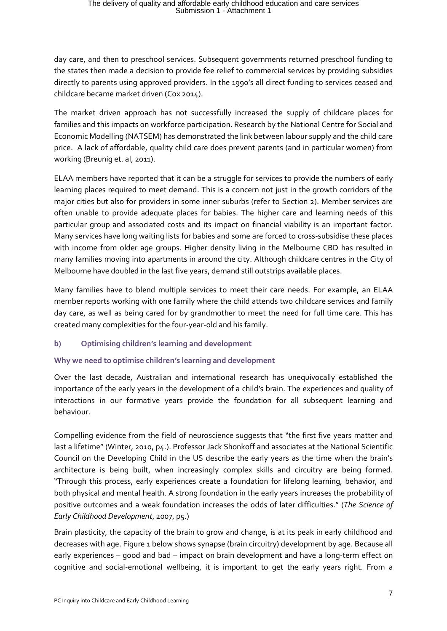day care, and then to preschool services. Subsequent governments returned preschool funding to the states then made a decision to provide fee relief to commercial services by providing subsidies directly to parents using approved providers. In the 1990's all direct funding to services ceased and childcare became market driven (Cox 2014).

The market driven approach has not successfully increased the supply of childcare places for families and this impacts on workforce participation. Research by the National Centre for Social and Economic Modelling (NATSEM) has demonstrated the link between labour supply and the child care price. A lack of affordable, quality child care does prevent parents (and in particular women) from working (Breunig et. al, 2011).

ELAA members have reported that it can be a struggle for services to provide the numbers of early learning places required to meet demand. This is a concern not just in the growth corridors of the major cities but also for providers in some inner suburbs (refer to Section 2). Member services are often unable to provide adequate places for babies. The higher care and learning needs of this particular group and associated costs and its impact on financial viability is an important factor. Many services have long waiting lists for babies and some are forced to cross-subsidise these places with income from older age groups. Higher density living in the Melbourne CBD has resulted in many families moving into apartments in around the city. Although childcare centres in the City of Melbourne have doubled in the last five years, demand still outstrips available places.

Many families have to blend multiple services to meet their care needs. For example, an ELAA member reports working with one family where the child attends two childcare services and family day care, as well as being cared for by grandmother to meet the need for full time care. This has created many complexities for the four-year-old and his family.

#### **b) Optimising children's learning and development**

#### **Why we need to optimise children's learning and development**

Over the last decade, Australian and international research has unequivocally established the importance of the early years in the development of a child's brain. The experiences and quality of interactions in our formative years provide the foundation for all subsequent learning and behaviour.

Compelling evidence from the field of neuroscience suggests that "the first five years matter and last a lifetime" (Winter, 2010, p4.). Professor Jack Shonkoff and associates at the National Scientific Council on the Developing Child in the US describe the early years as the time when the brain's architecture is being built, when increasingly complex skills and circuitry are being formed. "Through this process, early experiences create a foundation for lifelong learning, behavior, and both physical and mental health. A strong foundation in the early years increases the probability of positive outcomes and a weak foundation increases the odds of later difficulties." (*The Science of Early Childhood Development*, 2007, p5.)

Brain plasticity, the capacity of the brain to grow and change, is at its peak in early childhood and decreases with age. Figure 1 below shows synapse (brain circuitry) development by age. Because all early experiences – good and bad – impact on brain development and have a long-term effect on cognitive and social-emotional wellbeing, it is important to get the early years right. From a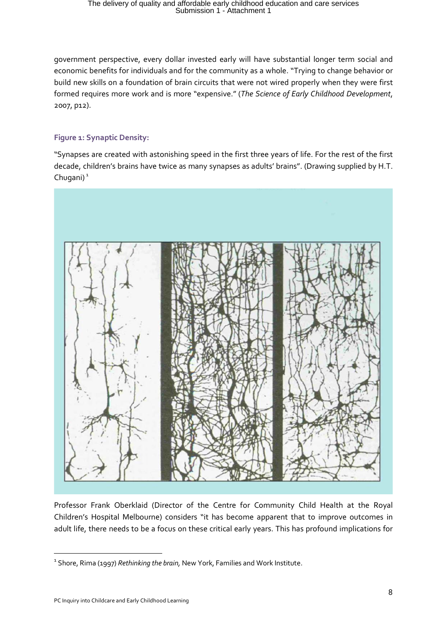government perspective, every dollar invested early will have substantial longer term social and economic benefits for individuals and for the community as a whole. "Trying to change behavior or build new skills on a foundation of brain circuits that were not wired properly when they were first formed requires more work and is more "expensive." (*The Science of Early Childhood Development*, 2007, p12).

#### **Figure 1: Synaptic Density:**

"Synapses are created with astonishing speed in the first three years of life. For the rest of the first decade, children's brains have twice as many synapses as adults' brains". (Drawing supplied by H.T. Chugani $)$ <sup>[1](#page-7-0)</sup>



Professor Frank Oberklaid (Director of the Centre for Community Child Health at the Royal Children's Hospital Melbourne) considers "it has become apparent that to improve outcomes in adult life, there needs to be a focus on these critical early years. This has profound implications for

1

<span id="page-7-0"></span><sup>&</sup>lt;sup>1</sup> Shore, Rima (1997) *Rethinking the brain*, New York, Families and Work Institute.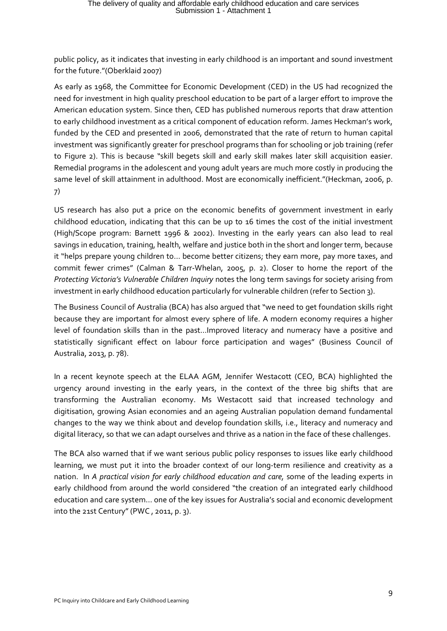public policy, as it indicates that investing in early childhood is an important and sound investment for the future."(Oberklaid 2007)

As early as 1968, the Committee for Economic Development (CED) in the US had recognized the need for investment in high quality preschool education to be part of a larger effort to improve the American education system. Since then, CED has published numerous reports that draw attention to early childhood investment as a critical component of education reform. James Heckman's work, funded by the CED and presented in 2006, demonstrated that the rate of return to human capital investment was significantly greater for preschool programs than for schooling or job training (refer to Figure 2). This is because "skill begets skill and early skill makes later skill acquisition easier. Remedial programs in the adolescent and young adult years are much more costly in producing the same level of skill attainment in adulthood. Most are economically inefficient."(Heckman, 2006, p. 7)

US research has also put a price on the economic benefits of government investment in early childhood education, indicating that this can be up to 16 times the cost of the initial investment (High/Scope program: Barnett 1996 & 2002). Investing in the early years can also lead to real savings in education, training, health, welfare and justice both in the short and longer term, because it "helps prepare young children to… become better citizens; they earn more, pay more taxes, and commit fewer crimes" (Calman & Tarr-Whelan, 2005, p. 2). Closer to home the report of the *Protecting Victoria's Vulnerable Children Inquiry* notes the long term savings for society arising from investment in early childhood education particularly for vulnerable children (refer to Section 3).

The Business Council of Australia (BCA) has also argued that "we need to get foundation skills right because they are important for almost every sphere of life. A modern economy requires a higher level of foundation skills than in the past…Improved literacy and numeracy have a positive and statistically significant effect on labour force participation and wages" (Business Council of Australia, 2013, p. 78).

In a recent keynote speech at the ELAA AGM, Jennifer Westacott (CEO, BCA) highlighted the urgency around investing in the early years, in the context of the three big shifts that are transforming the Australian economy. Ms Westacott said that increased technology and digitisation, growing Asian economies and an ageing Australian population demand fundamental changes to the way we think about and develop foundation skills, i.e., literacy and numeracy and digital literacy, so that we can adapt ourselves and thrive as a nation in the face of these challenges.

The BCA also warned that if we want serious public policy responses to issues like early childhood learning, we must put it into the broader context of our long-term resilience and creativity as a nation. In *A practical vision for early childhood education and care,* some of the leading experts in early childhood from around the world considered "the creation of an integrated early childhood education and care system… one of the key issues for Australia's social and economic development into the 21st Century" (PWC , 2011, p. 3).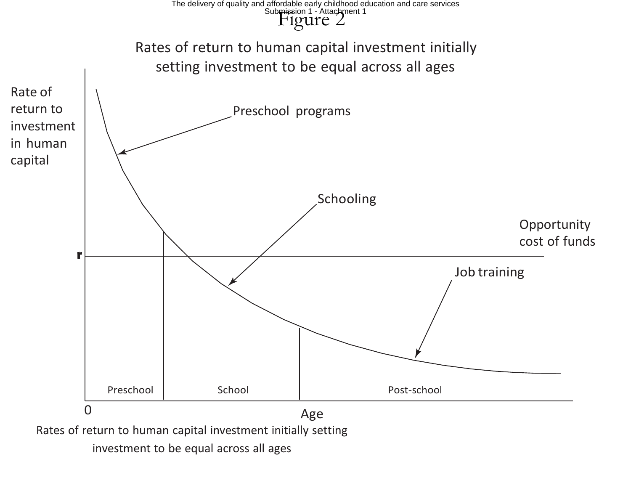### $\mathbb{F}$ igure  $2$ The delivery of quality and affordable early childhood education and care services<br>Sub<del>mis</del>sion 1 - Attachment 1



investment to be equal across all ages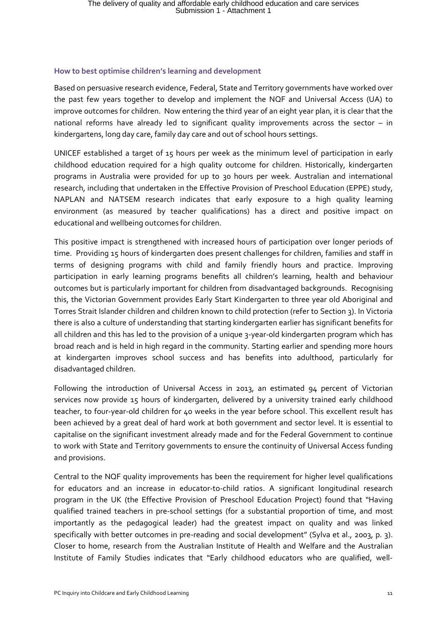#### **How to best optimise children's learning and development**

Based on persuasive research evidence, Federal, State and Territory governments have worked over the past few years together to develop and implement the NQF and Universal Access (UA) to improve outcomes for children. Now entering the third year of an eight year plan, it is clear that the national reforms have already led to significant quality improvements across the sector – in kindergartens, long day care, family day care and out of school hours settings.

UNICEF established a target of 15 hours per week as the minimum level of participation in early childhood education required for a high quality outcome for children. Historically, kindergarten programs in Australia were provided for up to 30 hours per week. Australian and international research, including that undertaken in the Effective Provision of Preschool Education (EPPE) study, NAPLAN and NATSEM research indicates that early exposure to a high quality learning environment (as measured by teacher qualifications) has a direct and positive impact on educational and wellbeing outcomes for children.

This positive impact is strengthened with increased hours of participation over longer periods of time. Providing 15 hours of kindergarten does present challenges for children, families and staff in terms of designing programs with child and family friendly hours and practice. Improving participation in early learning programs benefits all children's learning, health and behaviour outcomes but is particularly important for children from disadvantaged backgrounds. Recognising this, the Victorian Government provides Early Start Kindergarten to three year old Aboriginal and Torres Strait Islander children and children known to child protection (refer to Section 3). In Victoria there is also a culture of understanding that starting kindergarten earlier has significant benefits for all children and this has led to the provision of a unique 3-year-old kindergarten program which has broad reach and is held in high regard in the community. Starting earlier and spending more hours at kindergarten improves school success and has benefits into adulthood, particularly for disadvantaged children.

Following the introduction of Universal Access in 2013, an estimated 94 percent of Victorian services now provide 15 hours of kindergarten, delivered by a university trained early childhood teacher, to four-year-old children for 40 weeks in the year before school. This excellent result has been achieved by a great deal of hard work at both government and sector level. It is essential to capitalise on the significant investment already made and for the Federal Government to continue to work with State and Territory governments to ensure the continuity of Universal Access funding and provisions.

Central to the NQF quality improvements has been the requirement for higher level qualifications for educators and an increase in educator-to-child ratios. A significant longitudinal research program in the UK (the Effective Provision of Preschool Education Project) found that "Having qualified trained teachers in pre-school settings (for a substantial proportion of time, and most importantly as the pedagogical leader) had the greatest impact on quality and was linked specifically with better outcomes in pre-reading and social development" (Sylva et al., 2003, p. 3). Closer to home, research from the Australian Institute of Health and Welfare and the Australian Institute of Family Studies indicates that "Early childhood educators who are qualified, well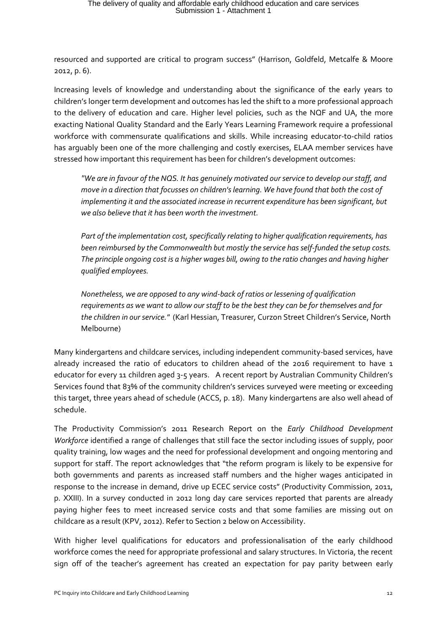resourced and supported are critical to program success" (Harrison, Goldfeld, Metcalfe & Moore 2012, p. 6).

Increasing levels of knowledge and understanding about the significance of the early years to children's longer term development and outcomes has led the shift to a more professional approach to the delivery of education and care. Higher level policies, such as the NQF and UA, the more exacting National Quality Standard and the Early Years Learning Framework require a professional workforce with commensurate qualifications and skills. While increasing educator-to-child ratios has arguably been one of the more challenging and costly exercises, ELAA member services have stressed how important this requirement has been for children's development outcomes:

*"We are in favour of the NQS. It has genuinely motivated our service to develop our staff, and move in a direction that focusses on children's learning. We have found that both the cost of implementing it and the associated increase in recurrent expenditure has been significant, but we also believe that it has been worth the investment.*

*Part of the implementation cost, specifically relating to higher qualification requirements, has been reimbursed by the Commonwealth but mostly the service has self-funded the setup costs. The principle ongoing cost is a higher wages bill, owing to the ratio changes and having higher qualified employees.*

*Nonetheless, we are opposed to any wind-back of ratios or lessening of qualification requirements as we want to allow our staff to be the best they can be for themselves and for the children in our service."* (Karl Hessian, Treasurer, Curzon Street Children's Service, North Melbourne)

Many kindergartens and childcare services, including independent community-based services, have already increased the ratio of educators to children ahead of the 2016 requirement to have 1 educator for every 11 children aged 3-5 years. A recent report by Australian Community Children's Services found that 83% of the community children's services surveyed were meeting or exceeding this target, three years ahead of schedule (ACCS, p. 18). Many kindergartens are also well ahead of schedule.

The Productivity Commission's 2011 Research Report on the *Early Childhood Development Workforce* identified a range of challenges that still face the sector including issues of supply, poor quality training, low wages and the need for professional development and ongoing mentoring and support for staff. The report acknowledges that "the reform program is likely to be expensive for both governments and parents as increased staff numbers and the higher wages anticipated in response to the increase in demand, drive up ECEC service costs" (Productivity Commission, 2011, p. XXIII). In a survey conducted in 2012 long day care services reported that parents are already paying higher fees to meet increased service costs and that some families are missing out on childcare as a result (KPV, 2012). Refer to Section 2 below on Accessibility.

With higher level qualifications for educators and professionalisation of the early childhood workforce comes the need for appropriate professional and salary structures. In Victoria, the recent sign off of the teacher's agreement has created an expectation for pay parity between early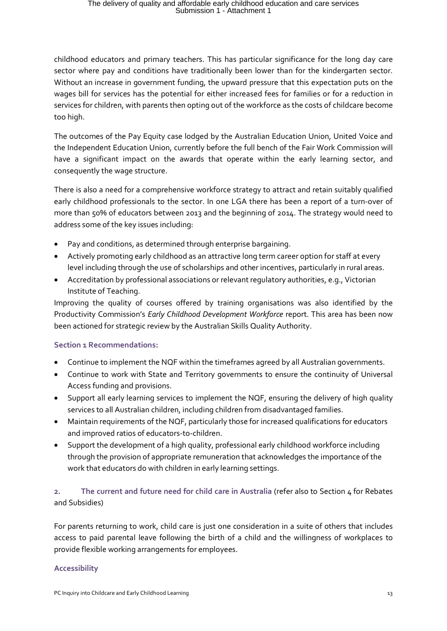childhood educators and primary teachers. This has particular significance for the long day care sector where pay and conditions have traditionally been lower than for the kindergarten sector. Without an increase in government funding, the upward pressure that this expectation puts on the wages bill for services has the potential for either increased fees for families or for a reduction in services for children, with parents then opting out of the workforce as the costs of childcare become too high.

The outcomes of the Pay Equity case lodged by the Australian Education Union, United Voice and the Independent Education Union, currently before the full bench of the Fair Work Commission will have a significant impact on the awards that operate within the early learning sector, and consequently the wage structure.

There is also a need for a comprehensive workforce strategy to attract and retain suitably qualified early childhood professionals to the sector. In one LGA there has been a report of a turn-over of more than 50% of educators between 2013 and the beginning of 2014. The strategy would need to address some of the key issues including:

- Pay and conditions, as determined through enterprise bargaining.
- Actively promoting early childhood as an attractive long term career option for staff at every level including through the use of scholarships and other incentives, particularly in rural areas.
- Accreditation by professional associations or relevant regulatory authorities, e.g., Victorian Institute of Teaching.

Improving the quality of courses offered by training organisations was also identified by the Productivity Commission's *Early Childhood Development Workforce* report. This area has been now been actioned for strategic review by the Australian Skills Quality Authority.

#### **Section 1 Recommendations:**

- Continue to implement the NQF within the timeframes agreed by all Australian governments.
- Continue to work with State and Territory governments to ensure the continuity of Universal Access funding and provisions.
- Support all early learning services to implement the NQF, ensuring the delivery of high quality services to all Australian children, including children from disadvantaged families.
- Maintain requirements of the NQF, particularly those for increased qualifications for educators and improved ratios of educators-to-children.
- Support the development of a high quality, professional early childhood workforce including through the provision of appropriate remuneration that acknowledges the importance of the work that educators do with children in early learning settings.

#### **2. The current and future need for child care in Australia** (refer also to Section 4 for Rebates and Subsidies)

For parents returning to work, child care is just one consideration in a suite of others that includes access to paid parental leave following the birth of a child and the willingness of workplaces to provide flexible working arrangements for employees.

#### **Accessibility**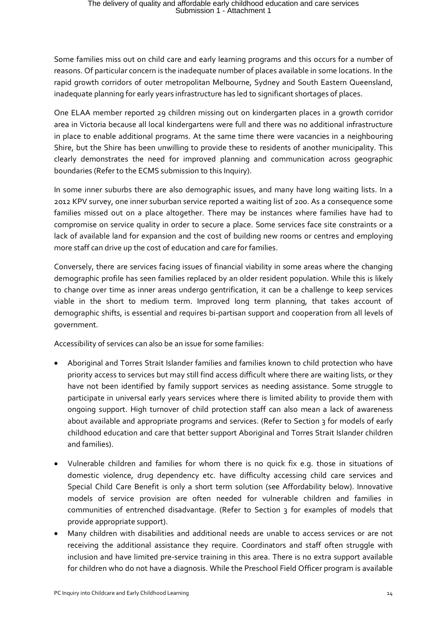Some families miss out on child care and early learning programs and this occurs for a number of reasons. Of particular concern is the inadequate number of places available in some locations. In the rapid growth corridors of outer metropolitan Melbourne, Sydney and South Eastern Queensland, inadequate planning for early years infrastructure has led to significant shortages of places.

One ELAA member reported 29 children missing out on kindergarten places in a growth corridor area in Victoria because all local kindergartens were full and there was no additional infrastructure in place to enable additional programs. At the same time there were vacancies in a neighbouring Shire, but the Shire has been unwilling to provide these to residents of another municipality. This clearly demonstrates the need for improved planning and communication across geographic boundaries (Refer to the ECMS submission to this Inquiry).

In some inner suburbs there are also demographic issues, and many have long waiting lists. In a 2012 KPV survey, one inner suburban service reported a waiting list of 200. As a consequence some families missed out on a place altogether. There may be instances where families have had to compromise on service quality in order to secure a place. Some services face site constraints or a lack of available land for expansion and the cost of building new rooms or centres and employing more staff can drive up the cost of education and care for families.

Conversely, there are services facing issues of financial viability in some areas where the changing demographic profile has seen families replaced by an older resident population. While this is likely to change over time as inner areas undergo gentrification, it can be a challenge to keep services viable in the short to medium term. Improved long term planning, that takes account of demographic shifts, is essential and requires bi-partisan support and cooperation from all levels of government.

Accessibility of services can also be an issue for some families:

- Aboriginal and Torres Strait Islander families and families known to child protection who have priority access to services but may still find access difficult where there are waiting lists, or they have not been identified by family support services as needing assistance. Some struggle to participate in universal early years services where there is limited ability to provide them with ongoing support. High turnover of child protection staff can also mean a lack of awareness about available and appropriate programs and services. (Refer to Section 3 for models of early childhood education and care that better support Aboriginal and Torres Strait Islander children and families).
- Vulnerable children and families for whom there is no quick fix e.g. those in situations of domestic violence, drug dependency etc. have difficulty accessing child care services and Special Child Care Benefit is only a short term solution (see Affordability below). Innovative models of service provision are often needed for vulnerable children and families in communities of entrenched disadvantage. (Refer to Section 3 for examples of models that provide appropriate support).
- Many children with disabilities and additional needs are unable to access services or are not receiving the additional assistance they require. Coordinators and staff often struggle with inclusion and have limited pre-service training in this area. There is no extra support available for children who do not have a diagnosis. While the Preschool Field Officer program is available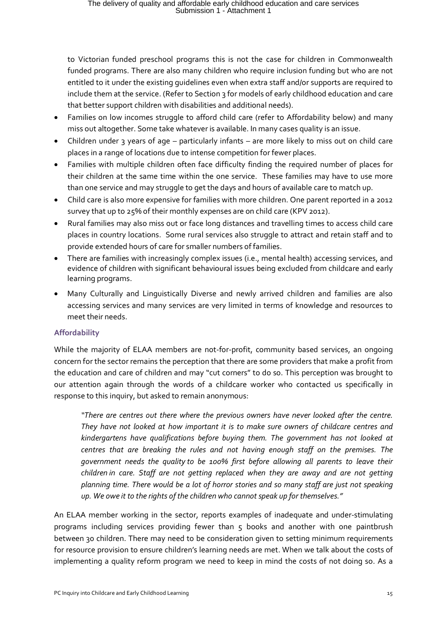to Victorian funded preschool programs this is not the case for children in Commonwealth funded programs. There are also many children who require inclusion funding but who are not entitled to it under the existing guidelines even when extra staff and/or supports are required to include them at the service. (Refer to Section 3 for models of early childhood education and care that better support children with disabilities and additional needs).

- Families on low incomes struggle to afford child care (refer to Affordability below) and many miss out altogether. Some take whatever is available. In many cases quality is an issue.
- Children under 3 years of age particularly infants are more likely to miss out on child care places in a range of locations due to intense competition for fewer places.
- Families with multiple children often face difficulty finding the required number of places for their children at the same time within the one service. These families may have to use more than one service and may struggle to get the days and hours of available care to match up.
- Child care is also more expensive for families with more children. One parent reported in a 2012 survey that up to 25% of their monthly expenses are on child care (KPV 2012).
- Rural families may also miss out or face long distances and travelling times to access child care places in country locations. Some rural services also struggle to attract and retain staff and to provide extended hours of care for smaller numbers of families.
- There are families with increasingly complex issues (i.e., mental health) accessing services, and evidence of children with significant behavioural issues being excluded from childcare and early learning programs.
- Many Culturally and Linguistically Diverse and newly arrived children and families are also accessing services and many services are very limited in terms of knowledge and resources to meet their needs.

#### **Affordability**

While the majority of ELAA members are not-for-profit, community based services, an ongoing concern for the sector remains the perception that there are some providers that make a profit from the education and care of children and may "cut corners" to do so. This perception was brought to our attention again through the words of a childcare worker who contacted us specifically in response to this inquiry, but asked to remain anonymous:

*"There are centres out there where the previous owners have never looked after the centre. They have not looked at how important it is to make sure owners of childcare centres and kindergartens have qualifications before buying them. The government has not looked at centres that are breaking the rules and not having enough staff on the premises. The government needs the quality to be 100% first before allowing all parents to leave their children in care. Staff are not getting replaced when they are away and are not getting planning time. There would be a lot of horror stories and so many staff are just not speaking up. We owe it to the rights of the children who cannot speak up for themselves."* 

An ELAA member working in the sector, reports examples of inadequate and under-stimulating programs including services providing fewer than  $5$  books and another with one paintbrush between 30 children. There may need to be consideration given to setting minimum requirements for resource provision to ensure children's learning needs are met. When we talk about the costs of implementing a quality reform program we need to keep in mind the costs of not doing so. As a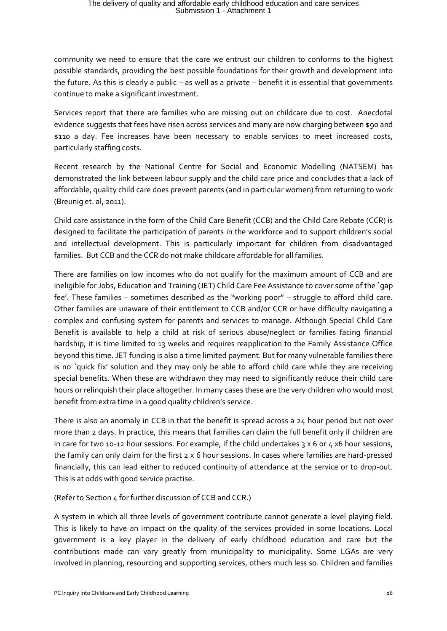community we need to ensure that the care we entrust our children to conforms to the highest possible standards, providing the best possible foundations for their growth and development into the future. As this is clearly a public – as well as a private – benefit it is essential that governments continue to make a significant investment.

Services report that there are families who are missing out on childcare due to cost. Anecdotal evidence suggests that fees have risen across services and many are now charging between \$90 and \$110 a day. Fee increases have been necessary to enable services to meet increased costs, particularly staffing costs.

Recent research by the National Centre for Social and Economic Modelling (NATSEM) has demonstrated the link between labour supply and the child care price and concludes that a lack of affordable, quality child care does prevent parents (and in particular women) from returning to work (Breunig et. al, 2011).

Child care assistance in the form of the Child Care Benefit (CCB) and the Child Care Rebate (CCR) is designed to facilitate the participation of parents in the workforce and to support children's social and intellectual development. This is particularly important for children from disadvantaged families. But CCB and the CCR do not make childcare affordable for all families.

There are families on low incomes who do not qualify for the maximum amount of CCB and are ineligible for Jobs, Education and Training (JET) Child Care Fee Assistance to cover some of the `gap fee'. These families – sometimes described as the "working poor" – struggle to afford child care. Other families are unaware of their entitlement to CCB and/or CCR or have difficulty navigating a complex and confusing system for parents and services to manage. Although Special Child Care Benefit is available to help a child at risk of serious abuse/neglect or families facing financial hardship, it is time limited to 13 weeks and requires reapplication to the Family Assistance Office beyond this time. JET funding is also a time limited payment. But for many vulnerable families there is no `quick fix' solution and they may only be able to afford child care while they are receiving special benefits. When these are withdrawn they may need to significantly reduce their child care hours or relinquish their place altogether. In many cases these are the very children who would most benefit from extra time in a good quality children's service.

There is also an anomaly in CCB in that the benefit is spread across a 24 hour period but not over more than 2 days. In practice, this means that families can claim the full benefit only if children are in care for two 10-12 hour sessions. For example, if the child undertakes  $3 \times 6$  or 4  $\times 6$  hour sessions, the family can only claim for the first 2 x 6 hour sessions. In cases where families are hard-pressed financially, this can lead either to reduced continuity of attendance at the service or to drop-out. This is at odds with good service practise.

(Refer to Section  $\Delta$  for further discussion of CCB and CCR.)

A system in which all three levels of government contribute cannot generate a level playing field. This is likely to have an impact on the quality of the services provided in some locations. Local government is a key player in the delivery of early childhood education and care but the contributions made can vary greatly from municipality to municipality. Some LGAs are very involved in planning, resourcing and supporting services, others much less so. Children and families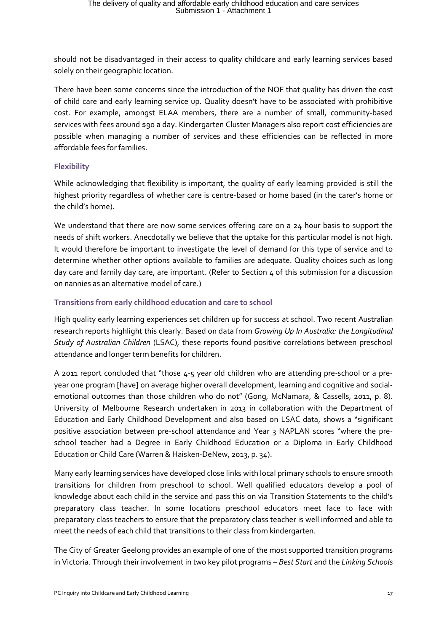should not be disadvantaged in their access to quality childcare and early learning services based solely on their geographic location.

There have been some concerns since the introduction of the NQF that quality has driven the cost of child care and early learning service up. Quality doesn't have to be associated with prohibitive cost. For example, amongst ELAA members, there are a number of small, community-based services with fees around \$90 a day. Kindergarten Cluster Managers also report cost efficiencies are possible when managing a number of services and these efficiencies can be reflected in more affordable fees for families.

#### **Flexibility**

While acknowledging that flexibility is important, the quality of early learning provided is still the highest priority regardless of whether care is centre-based or home based (in the carer's home or the child's home).

We understand that there are now some services offering care on a 24 hour basis to support the needs of shift workers. Anecdotally we believe that the uptake for this particular model is not high. It would therefore be important to investigate the level of demand for this type of service and to determine whether other options available to families are adequate. Quality choices such as long day care and family day care, are important. (Refer to Section 4 of this submission for a discussion on nannies as an alternative model of care.)

#### **Transitions from early childhood education and care to school**

High quality early learning experiences set children up for success at school. Two recent Australian research reports highlight this clearly. Based on data from *Growing Up In Australia: the Longitudinal Study of Australian Children* (LSAC), these reports found positive correlations between preschool attendance and longer term benefits for children.

A 2011 report concluded that "those 4-5 year old children who are attending pre-school or a preyear one program [have] on average higher overall development, learning and cognitive and socialemotional outcomes than those children who do not" (Gong, McNamara, & Cassells, 2011, p. 8). University of Melbourne Research undertaken in 2013 in collaboration with the Department of Education and Early Childhood Development and also based on LSAC data, shows a "significant positive association between pre-school attendance and Year 3 NAPLAN scores "where the preschool teacher had a Degree in Early Childhood Education or a Diploma in Early Childhood Education or Child Care (Warren & Haisken-DeNew, 2013, p. 34).

Many early learning services have developed close links with local primary schools to ensure smooth transitions for children from preschool to school. Well qualified educators develop a pool of knowledge about each child in the service and pass this on via Transition Statements to the child's preparatory class teacher. In some locations preschool educators meet face to face with preparatory class teachers to ensure that the preparatory class teacher is well informed and able to meet the needs of each child that transitions to their class from kindergarten.

The City of Greater Geelong provides an example of one of the most supported transition programs in Victoria. Through their involvement in two key pilot programs – *Best Start* and the *Linking Schools*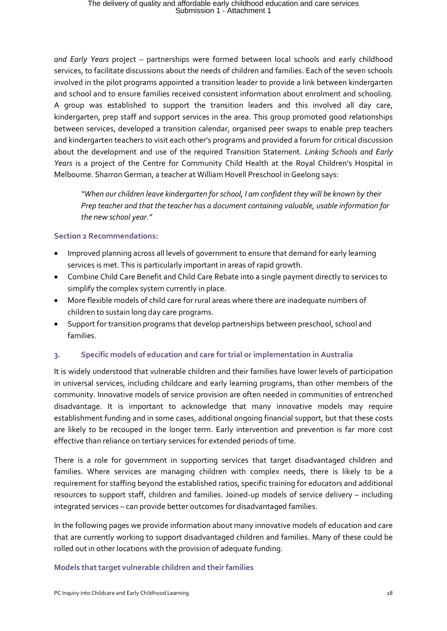*and Early Years* project – partnerships were formed between local schools and early childhood services, to facilitate discussions about the needs of children and families. Each of the seven schools involved in the pilot programs appointed a transition leader to provide a link between kindergarten and school and to ensure families received consistent information about enrolment and schooling. A group was established to support the transition leaders and this involved all day care, kindergarten, prep staff and support services in the area. This group promoted good relationships between services, developed a transition calendar, organised peer swaps to enable prep teachers and kindergarten teachers to visit each other's programs and provided a forum for critical discussion about the development and use of the required Transition Statement. *Linking Schools and Early Years* is a project of the Centre for Community Child Health at the Royal Children's Hospital in Melbourne. Sharron German, a teacher at William Hovell Preschool in Geelong says:

*"When our children leave kindergarten for school, I am confident they will be known by their Prep teacher and that the teacher has a document containing valuable, usable information for the new school year."*

#### **Section 2 Recommendations:**

- Improved planning across all levels of government to ensure that demand for early learning services is met. This is particularly important in areas of rapid growth.
- Combine Child Care Benefit and Child Care Rebate into a single payment directly to services to simplify the complex system currently in place.
- More flexible models of child care for rural areas where there are inadequate numbers of children to sustain long day care programs.
- Support for transition programs that develop partnerships between preschool, school and families.

#### **3. Specific models of education and care for trial or implementation in Australia**

It is widely understood that vulnerable children and their families have lower levels of participation in universal services, including childcare and early learning programs, than other members of the community. Innovative models of service provision are often needed in communities of entrenched disadvantage. It is important to acknowledge that many innovative models may require establishment funding and in some cases, additional ongoing financial support, but that these costs are likely to be recouped in the longer term. Early intervention and prevention is far more cost effective than reliance on tertiary services for extended periods of time.

There is a role for government in supporting services that target disadvantaged children and families. Where services are managing children with complex needs, there is likely to be a requirement for staffing beyond the established ratios, specific training for educators and additional resources to support staff, children and families. Joined-up models of service delivery – including integrated services – can provide better outcomes for disadvantaged families.

In the following pages we provide information about many innovative models of education and care that are currently working to support disadvantaged children and families. Many of these could be rolled out in other locations with the provision of adequate funding.

#### **Models that target vulnerable children and their families**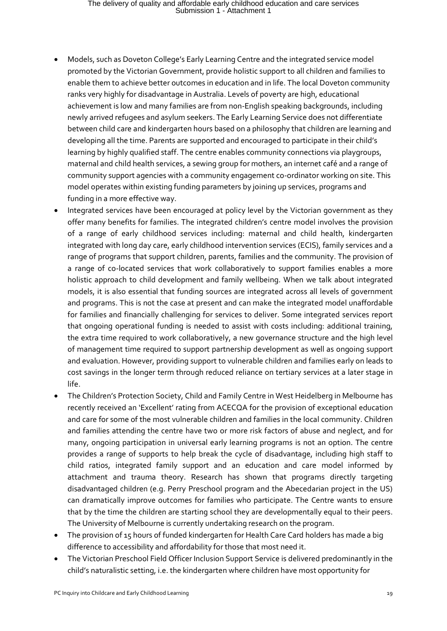- Models, such as Doveton College's Early Learning Centre and the integrated service model promoted by the Victorian Government, provide holistic support to all children and families to enable them to achieve better outcomes in education and in life. The local Doveton community ranks very highly for disadvantage in Australia. Levels of poverty are high, educational achievement is low and many families are from non-English speaking backgrounds, including newly arrived refugees and asylum seekers. The Early Learning Service does not differentiate between child care and kindergarten hours based on a philosophy that children are learning and developing all the time. Parents are supported and encouraged to participate in their child's learning by highly qualified staff. The centre enables community connections via playgroups, maternal and child health services, a sewing group for mothers, an internet café and a range of community support agencies with a community engagement co-ordinator working on site. This model operates within existing funding parameters by joining up services, programs and funding in a more effective way.
- Integrated services have been encouraged at policy level by the Victorian government as they offer many benefits for families. The integrated children's centre model involves the provision of a range of early childhood services including: maternal and child health, kindergarten integrated with long day care, early childhood intervention services (ECIS), family services and a range of programs that support children, parents, families and the community. The provision of a range of co-located services that work collaboratively to support families enables a more holistic approach to child development and family wellbeing. When we talk about integrated models, it is also essential that funding sources are integrated across all levels of government and programs. This is not the case at present and can make the integrated model unaffordable for families and financially challenging for services to deliver. Some integrated services report that ongoing operational funding is needed to assist with costs including: additional training, the extra time required to work collaboratively, a new governance structure and the high level of management time required to support partnership development as well as ongoing support and evaluation. However, providing support to vulnerable children and families early on leads to cost savings in the longer term through reduced reliance on tertiary services at a later stage in life.
- The Children's Protection Society, Child and Family Centre in West Heidelberg in Melbourne has recently received an 'Excellent' rating from ACECQA for the provision of exceptional education and care for some of the most vulnerable children and families in the local community. Children and families attending the centre have two or more risk factors of abuse and neglect, and for many, ongoing participation in universal early learning programs is not an option. The centre provides a range of supports to help break the cycle of disadvantage, including high staff to child ratios, integrated family support and an education and care model informed by attachment and trauma theory. Research has shown that programs directly targeting disadvantaged children (e.g. Perry Preschool program and the Abecedarian project in the US) can dramatically improve outcomes for families who participate. The Centre wants to ensure that by the time the children are starting school they are developmentally equal to their peers. The University of Melbourne is currently undertaking research on the program.
- The provision of 15 hours of funded kindergarten for Health Care Card holders has made a big difference to accessibility and affordability for those that most need it.
- The Victorian Preschool Field Officer Inclusion Support Service is delivered predominantly in the child's naturalistic setting, i.e. the kindergarten where children have most opportunity for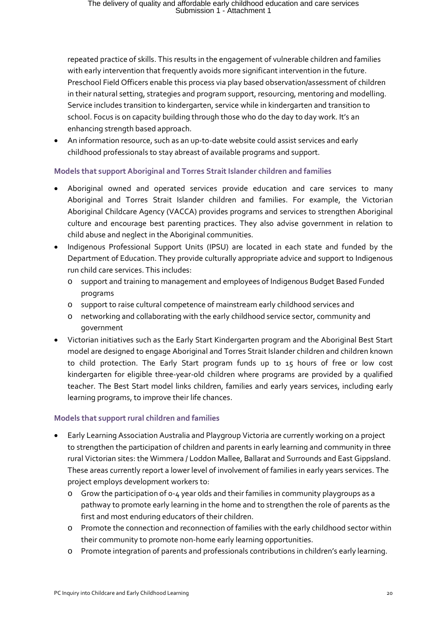repeated practice of skills. This results in the engagement of vulnerable children and families with early intervention that frequently avoids more significant intervention in the future. Preschool Field Officers enable this process via play based observation/assessment of children in their natural setting, strategies and program support, resourcing, mentoring and modelling. Service includes transition to kindergarten, service while in kindergarten and transition to school. Focus is on capacity building through those who do the day to day work. It's an enhancing strength based approach.

• An information resource, such as an up-to-date website could assist services and early childhood professionals to stay abreast of available programs and support.

#### **Models that support Aboriginal and Torres Strait Islander children and families**

- Aboriginal owned and operated services provide education and care services to many Aboriginal and Torres Strait Islander children and families. For example, the Victorian Aboriginal Childcare Agency (VACCA) provides programs and services to strengthen Aboriginal culture and encourage best parenting practices. They also advise government in relation to child abuse and neglect in the Aboriginal communities.
- Indigenous Professional Support Units (IPSU) are located in each state and funded by the Department of Education. They provide culturally appropriate advice and support to Indigenous run child care services. This includes:
	- o support and training to management and employees of Indigenous Budget Based Funded programs
	- o support to raise cultural competence of mainstream early childhood services and
	- o networking and collaborating with the early childhood service sector, community and government
- Victorian initiatives such as the Early Start Kindergarten program and the Aboriginal Best Start model are designed to engage Aboriginal and Torres Strait Islander children and children known to child protection. The Early Start program funds up to 15 hours of free or low cost kindergarten for eligible three-year-old children where programs are provided by a qualified teacher. The Best Start model links children, families and early years services, including early learning programs, to improve their life chances.

#### **Models that support rural children and families**

- Early Learning Association Australia and Playgroup Victoria are currently working on a project to strengthen the participation of children and parents in early learning and community in three rural Victorian sites: the Wimmera / Loddon Mallee, Ballarat and Surrounds and East Gippsland. These areas currently report a lower level of involvement of families in early years services. The project employs development workers to:
	- o Grow the participation of 0-4 year olds and their families in community playgroups as a pathway to promote early learning in the home and to strengthen the role of parents as the first and most enduring educators of their children.
	- o Promote the connection and reconnection of families with the early childhood sector within their community to promote non-home early learning opportunities.
	- o Promote integration of parents and professionals contributions in children's early learning.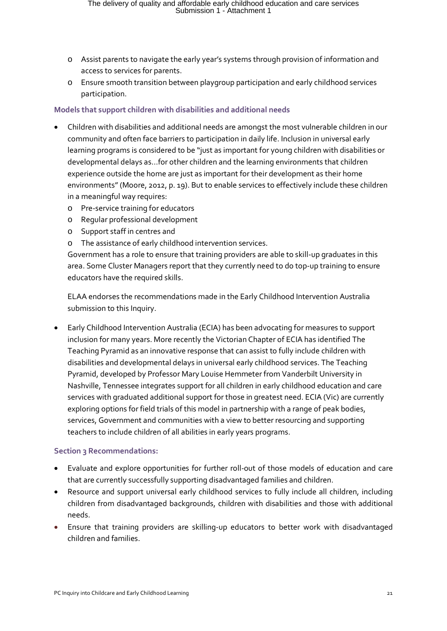- o Assist parents to navigate the early year's systems through provision of information and access to services for parents.
- o Ensure smooth transition between playgroup participation and early childhood services participation.

#### **Models that support children with disabilities and additional needs**

- Children with disabilities and additional needs are amongst the most vulnerable children in our community and often face barriers to participation in daily life. Inclusion in universal early learning programs is considered to be "just as important for young children with disabilities or developmental delays as…for other children and the learning environments that children experience outside the home are just as important for their development as their home environments" (Moore, 2012, p. 19). But to enable services to effectively include these children in a meaningful way requires:
	- o Pre-service training for educators
	- o Regular professional development
	- o Support staff in centres and
	- o The assistance of early childhood intervention services.

Government has a role to ensure that training providers are able to skill-up graduates in this area. Some Cluster Managers report that they currently need to do top-up training to ensure educators have the required skills.

ELAA endorses the recommendations made in the Early Childhood Intervention Australia submission to this Inquiry.

• Early Childhood Intervention Australia (ECIA) has been advocating for measures to support inclusion for many years. More recently the Victorian Chapter of ECIA has identified The Teaching Pyramid as an innovative response that can assist to fully include children with disabilities and developmental delays in universal early childhood services. The Teaching Pyramid, developed by Professor Mary Louise Hemmeter from Vanderbilt University in Nashville, Tennessee integrates support for all children in early childhood education and care services with graduated additional support for those in greatest need. ECIA (Vic) are currently exploring options for field trials of this model in partnership with a range of peak bodies, services, Government and communities with a view to better resourcing and supporting teachers to include children of all abilities in early years programs.

#### **Section 3 Recommendations:**

- Evaluate and explore opportunities for further roll-out of those models of education and care that are currently successfully supporting disadvantaged families and children.
- Resource and support universal early childhood services to fully include all children, including children from disadvantaged backgrounds, children with disabilities and those with additional needs.
- Ensure that training providers are skilling-up educators to better work with disadvantaged children and families.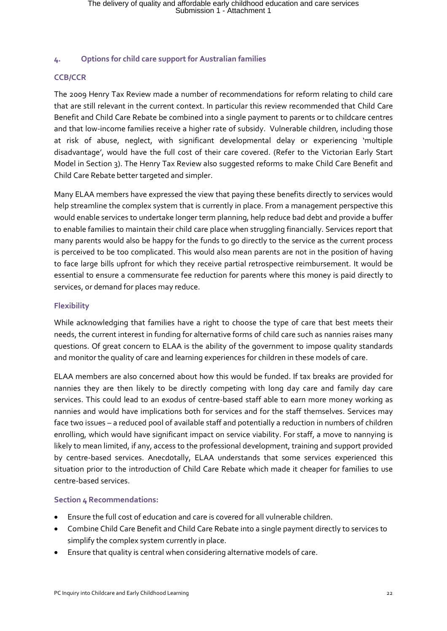#### **4. Options for child care support for Australian families**

#### **CCB/CCR**

The 2009 Henry Tax Review made a number of recommendations for reform relating to child care that are still relevant in the current context. In particular this review recommended that Child Care Benefit and Child Care Rebate be combined into a single payment to parents or to childcare centres and that low-income families receive a higher rate of subsidy. Vulnerable children, including those at risk of abuse, neglect, with significant developmental delay or experiencing 'multiple disadvantage', would have the full cost of their care covered. (Refer to the Victorian Early Start Model in Section 3). The Henry Tax Review also suggested reforms to make Child Care Benefit and Child Care Rebate better targeted and simpler.

Many ELAA members have expressed the view that paying these benefits directly to services would help streamline the complex system that is currently in place. From a management perspective this would enable services to undertake longer term planning, help reduce bad debt and provide a buffer to enable families to maintain their child care place when struggling financially. Services report that many parents would also be happy for the funds to go directly to the service as the current process is perceived to be too complicated. This would also mean parents are not in the position of having to face large bills upfront for which they receive partial retrospective reimbursement. It would be essential to ensure a commensurate fee reduction for parents where this money is paid directly to services, or demand for places may reduce.

#### **Flexibility**

While acknowledging that families have a right to choose the type of care that best meets their needs, the current interest in funding for alternative forms of child care such as nannies raises many questions. Of great concern to ELAA is the ability of the government to impose quality standards and monitor the quality of care and learning experiences for children in these models of care.

ELAA members are also concerned about how this would be funded. If tax breaks are provided for nannies they are then likely to be directly competing with long day care and family day care services. This could lead to an exodus of centre-based staff able to earn more money working as nannies and would have implications both for services and for the staff themselves. Services may face two issues – a reduced pool of available staff and potentially a reduction in numbers of children enrolling, which would have significant impact on service viability. For staff, a move to nannying is likely to mean limited, if any, access to the professional development, training and support provided by centre-based services. Anecdotally, ELAA understands that some services experienced this situation prior to the introduction of Child Care Rebate which made it cheaper for families to use centre-based services.

#### **Section 4 Recommendations:**

- Ensure the full cost of education and care is covered for all vulnerable children.
- Combine Child Care Benefit and Child Care Rebate into a single payment directly to services to simplify the complex system currently in place.
- Ensure that quality is central when considering alternative models of care.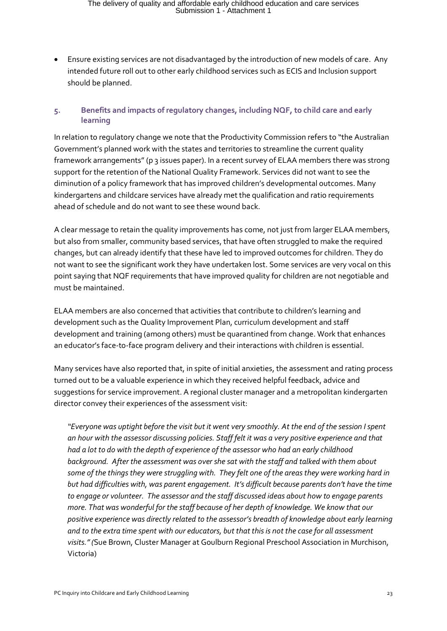• Ensure existing services are not disadvantaged by the introduction of new models of care. Any intended future roll out to other early childhood services such as ECIS and Inclusion support should be planned.

#### **5. Benefits and impacts of regulatory changes, including NQF, to child care and early learning**

In relation to regulatory change we note that the Productivity Commission refers to "the Australian Government's planned work with the states and territories to streamline the current quality framework arrangements" (p 3 issues paper). In a recent survey of ELAA members there was strong support for the retention of the National Quality Framework. Services did not want to see the diminution of a policy framework that has improved children's developmental outcomes. Many kindergartens and childcare services have already met the qualification and ratio requirements ahead of schedule and do not want to see these wound back.

A clear message to retain the quality improvements has come, not just from larger ELAA members, but also from smaller, community based services, that have often struggled to make the required changes, but can already identify that these have led to improved outcomes for children. They do not want to see the significant work they have undertaken lost. Some services are very vocal on this point saying that NQF requirements that have improved quality for children are not negotiable and must be maintained.

ELAA members are also concerned that activities that contribute to children's learning and development such as the Quality Improvement Plan, curriculum development and staff development and training (among others) must be quarantined from change. Work that enhances an educator's face-to-face program delivery and their interactions with children is essential.

Many services have also reported that, in spite of initial anxieties, the assessment and rating process turned out to be a valuable experience in which they received helpful feedback, advice and suggestions for service improvement. A regional cluster manager and a metropolitan kindergarten director convey their experiences of the assessment visit:

*"Everyone was uptight before the visit but it went very smoothly. At the end of the session I spent an hour with the assessor discussing policies. Staff felt it was a very positive experience and that had a lot to do with the depth of experience of the assessor who had an early childhood background. After the assessment was over she sat with the staff and talked with them about some of the things they were struggling with. They felt one of the areas they were working hard in but had difficulties with, was parent engagement. It's difficult because parents don't have the time to engage or volunteer. The assessor and the staff discussed ideas about how to engage parents more. That was wonderful for the staff because of her depth of knowledge. We know that our positive experience was directly related to the assessor's breadth of knowledge about early learning and to the extra time spent with our educators, but that this is not the case for all assessment visits." (*Sue Brown, Cluster Manager at Goulburn Regional Preschool Association in Murchison, Victoria)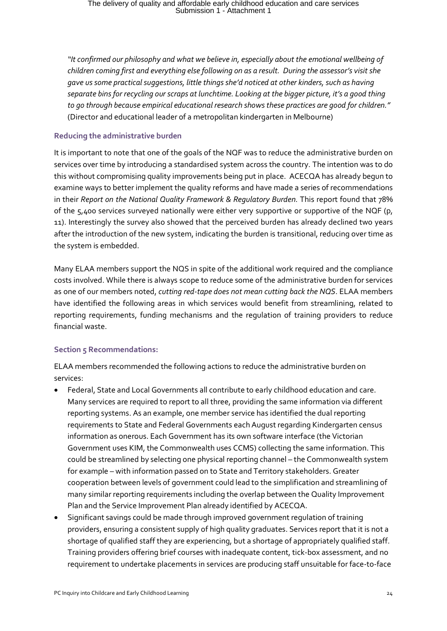*"It confirmed our philosophy and what we believe in, especially about the emotional wellbeing of children coming first and everything else following on as a result. During the assessor's visit she gave us some practical suggestions, little things she'd noticed at other kinders, such as having separate bins for recycling our scraps at lunchtime. Looking at the bigger picture, it's a good thing to go through because empirical educational research shows these practices are good for children."*  (Director and educational leader of a metropolitan kindergarten in Melbourne)

#### **Reducing the administrative burden**

It is important to note that one of the goals of the NQF was to reduce the administrative burden on services over time by introducing a standardised system across the country. The intention was to do this without compromising quality improvements being put in place. ACECQA has already begun to examine ways to better implement the quality reforms and have made a series of recommendations in their *Report on the National Quality Framework & Regulatory Burden.* This report found that 78% of the 5,400 services surveyed nationally were either very supportive or supportive of the NQF (p, 11). Interestingly the survey also showed that the perceived burden has already declined two years after the introduction of the new system, indicating the burden is transitional, reducing over time as the system is embedded.

Many ELAA members support the NQS in spite of the additional work required and the compliance costs involved. While there is always scope to reduce some of the administrative burden for services as one of our members noted, *cutting red-tape does not mean cutting back the NQS*. ELAA members have identified the following areas in which services would benefit from streamlining, related to reporting requirements, funding mechanisms and the regulation of training providers to reduce financial waste.

#### **Section 5 Recommendations:**

ELAA members recommended the following actions to reduce the administrative burden on services:

- Federal, State and Local Governments all contribute to early childhood education and care. Many services are required to report to all three, providing the same information via different reporting systems. As an example, one member service has identified the dual reporting requirements to State and Federal Governments each August regarding Kindergarten census information as onerous. Each Government has its own software interface (the Victorian Government uses KIM, the Commonwealth uses CCMS) collecting the same information. This could be streamlined by selecting one physical reporting channel – the Commonwealth system for example – with information passed on to State and Territory stakeholders. Greater cooperation between levels of government could lead to the simplification and streamlining of many similar reporting requirements including the overlap between the Quality Improvement Plan and the Service Improvement Plan already identified by ACECQA.
- Significant savings could be made through improved government regulation of training providers, ensuring a consistent supply of high quality graduates. Services report that it is not a shortage of qualified staff they are experiencing, but a shortage of appropriately qualified staff. Training providers offering brief courses with inadequate content, tick-box assessment, and no requirement to undertake placements in services are producing staff unsuitable for face-to-face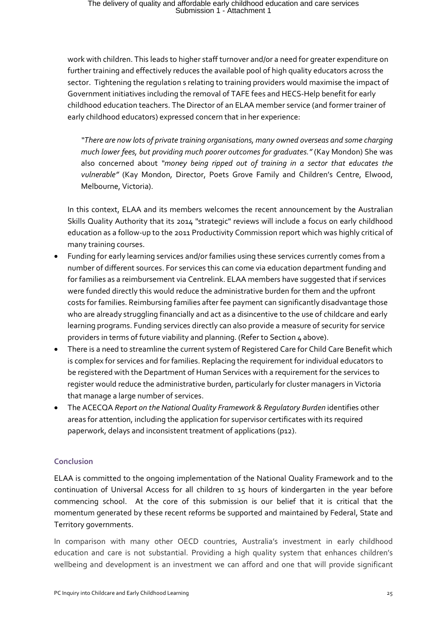work with children. This leads to higher staff turnover and/or a need for greater expenditure on further training and effectively reduces the available pool of high quality educators across the sector. Tightening the regulation s relating to training providers would maximise the impact of Government initiatives including the removal of TAFE fees and HECS-Help benefit for early childhood education teachers. The Director of an ELAA member service (and former trainer of early childhood educators) expressed concern that in her experience:

*"There are now lots of private training organisations, many owned overseas and some charging much lower fees, but providing much poorer outcomes for graduates."* (Kay Mondon) She was also concerned about *"money being ripped out of training in a sector that educates the vulnerable"* (Kay Mondon, Director, Poets Grove Family and Children's Centre, Elwood, Melbourne, Victoria).

In this context, ELAA and its members welcomes the recent announcement by the Australian Skills Quality Authority that its 2014 "strategic" reviews will include a focus on early childhood education as a follow-up to the 2011 Productivity Commission report which was highly critical of many training courses.

- Funding for early learning services and/or families using these services currently comes from a number of different sources. For services this can come via education department funding and for families as a reimbursement via Centrelink. ELAA members have suggested that if services were funded directly this would reduce the administrative burden for them and the upfront costs for families. Reimbursing families after fee payment can significantly disadvantage those who are already struggling financially and act as a disincentive to the use of childcare and early learning programs. Funding services directly can also provide a measure of security for service providers in terms of future viability and planning. (Refer to Section 4 above).
- There is a need to streamline the current system of Registered Care for Child Care Benefit which is complex for services and for families. Replacing the requirement for individual educators to be registered with the Department of Human Services with a requirement for the services to register would reduce the administrative burden, particularly for cluster managers in Victoria that manage a large number of services.
- The ACECQA *Report on the National Quality Framework & Regulatory Burden* identifies other areas for attention, including the application for supervisor certificates with its required paperwork, delays and inconsistent treatment of applications (p12).

#### **Conclusion**

ELAA is committed to the ongoing implementation of the National Quality Framework and to the continuation of Universal Access for all children to 15 hours of kindergarten in the year before commencing school. At the core of this submission is our belief that it is critical that the momentum generated by these recent reforms be supported and maintained by Federal, State and Territory governments.

In comparison with many other OECD countries, Australia's investment in early childhood education and care is not substantial. Providing a high quality system that enhances children's wellbeing and development is an investment we can afford and one that will provide significant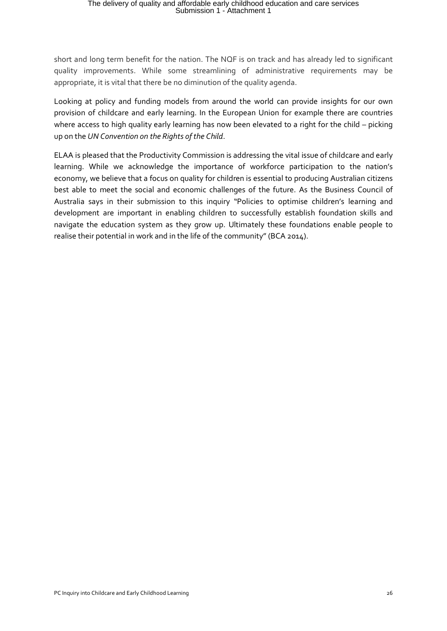short and long term benefit for the nation. The NQF is on track and has already led to significant quality improvements. While some streamlining of administrative requirements may be appropriate, it is vital that there be no diminution of the quality agenda.

Looking at policy and funding models from around the world can provide insights for our own provision of childcare and early learning. In the European Union for example there are countries where access to high quality early learning has now been elevated to a right for the child – picking up on the *UN Convention on the Rights of the Child*.

ELAA is pleased that the Productivity Commission is addressing the vital issue of childcare and early learning. While we acknowledge the importance of workforce participation to the nation's economy, we believe that a focus on quality for children is essential to producing Australian citizens best able to meet the social and economic challenges of the future. As the Business Council of Australia says in their submission to this inquiry "Policies to optimise children's learning and development are important in enabling children to successfully establish foundation skills and navigate the education system as they grow up. Ultimately these foundations enable people to realise their potential in work and in the life of the community" (BCA 2014).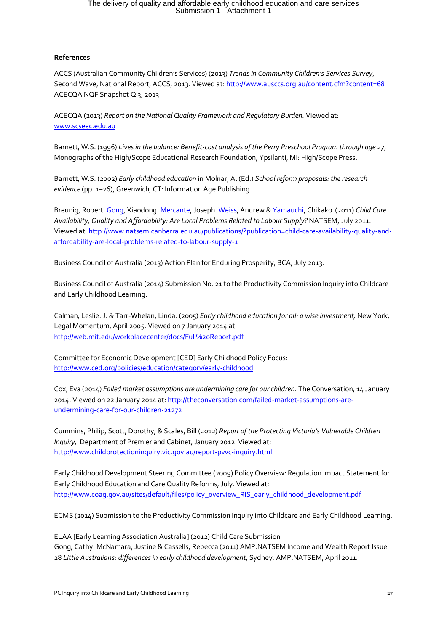#### **References**

ACCS (Australian Community Children's Services) (2013) *Trends in Community Children's Services Survey*, Second Wave, National Report, ACCS, 2013. Viewed at[: http://www.ausccs.org.au/content.cfm?content=68](http://www.ausccs.org.au/content.cfm?content=68) ACECQA NQF Snapshot Q 3, 2013

ACECQA (2013) *Report on the National Quality Framework and Regulatory Burden.* Viewed at: [www.scseec.edu.au](http://www.scseec.edu.au/)

Barnett, W.S. (1996) *Lives in the balance: Benefit-cost analysis of the Perry Preschool Program through age 27*, Monographs of the High/Scope Educational Research Foundation, Ypsilanti, MI: High/Scope Press.

Barnett, W.S. (2002) *Early childhood education* in Molnar, A. (Ed.) *School reform proposals: the research evidence* (pp. 1–26), Greenwich, CT: Information Age Publishing.

Breunig, Robert[. Gong,](http://www.natsem.canberra.edu.au/publications/search-by-author/?author=467) Xiaodong[. Mercante,](http://www.natsem.canberra.edu.au/publications/search-by-author/?author=516) Joseph[. Weiss,](http://www.natsem.canberra.edu.au/publications/search-by-author/?author=517) Andrew [& Yamauchi,](http://www.natsem.canberra.edu.au/publications/search-by-author/?author=518) Chikako (2011) *Child Care Availability, Quality and Affordability: Are Local Problems Related to Labour Supply?* NATSEM, July 2011. Viewed at[: http://www.natsem.canberra.edu.au/publications/?publication=child-care-availability-quality-and](http://www.natsem.canberra.edu.au/publications/?publication=child-care-availability-quality-and-affordability-are-local-problems-related-to-labour-supply-1)[affordability-are-local-problems-related-to-labour-supply-1](http://www.natsem.canberra.edu.au/publications/?publication=child-care-availability-quality-and-affordability-are-local-problems-related-to-labour-supply-1)

Business Council of Australia (2013) Action Plan for Enduring Prosperity, BCA, July 2013.

Business Council of Australia (2014) Submission No. 21 to the Productivity Commission Inquiry into Childcare and Early Childhood Learning.

Calman, Leslie. J. & Tarr-Whelan, Linda. (2005) *Early childhood education for all: a wise investment,* New York, Legal Momentum, April 2005. Viewed on 7 January 2014 at: <http://web.mit.edu/workplacecenter/docs/Full%20Report.pdf>

Committee for Economic Development [CED] Early Childhood Policy Focus: <http://www.ced.org/policies/education/category/early-childhood>

Cox, Eva (2014) *Failed market assumptions are undermining care for our children.* The Conversation, 14 January 2014. Viewed on 22 January 2014 at[: http://theconversation.com/failed-market-assumptions-are](http://theconversation.com/failed-market-assumptions-are-undermining-care-for-our-children-21272)[undermining-care-for-our-children-21272](http://theconversation.com/failed-market-assumptions-are-undermining-care-for-our-children-21272)

Cummins, Philip, Scott, Dorothy, & Scales, Bill (2012) *Report of the Protecting Victoria's Vulnerable Children Inquiry,* Department of Premier and Cabinet, January 2012. Viewed at: <http://www.childprotectioninquiry.vic.gov.au/report-pvvc-inquiry.html>

Early Childhood Development Steering Committee (2009) Policy Overview: Regulation Impact Statement for Early Childhood Education and Care Quality Reforms, July. Viewed at: [http://www.coag.gov.au/sites/default/files/policy\\_overview\\_RIS\\_early\\_childhood\\_development.pdf](http://www.coag.gov.au/sites/default/files/policy_overview_RIS_early_childhood_development.pdf)

ECMS (2014) Submission to the Productivity Commission Inquiry into Childcare and Early Childhood Learning.

ELAA [Early Learning Association Australia] (2012) Child Care Submission Gong, Cathy. McNamara, Justine & Cassells, Rebecca (2011) AMP.NATSEM Income and Wealth Report Issue 28 *Little Australians: differences in early childhood development*, Sydney, AMP.NATSEM, April 2011.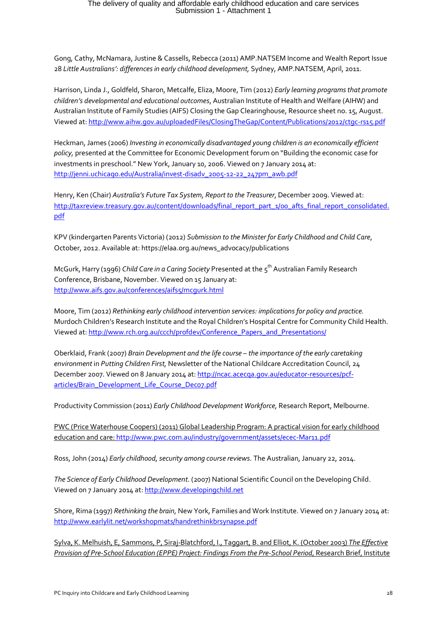Gong, Cathy, McNamara, Justine & Cassells, Rebecca (2011) AMP.NATSEM Income and Wealth Report Issue 28 *Little Australians': differences in early childhood development,* Sydney, AMP.NATSEM, April, 2011.

Harrison, Linda J., Goldfeld, Sharon, Metcalfe, Eliza, Moore, Tim (2012) *Early learning programs that promote children's developmental and educational outcomes*, Australian Institute of Health and Welfare (AIHW) and Australian Institute of Family Studies (AIFS) Closing the Gap Clearinghouse, Resource sheet no. 15, August. Viewed at[: http://www.aihw.gov.au/uploadedFiles/ClosingTheGap/Content/Publications/2012/ctgc-rs15.pdf](http://www.aihw.gov.au/uploadedFiles/ClosingTheGap/Content/Publications/2012/ctgc-rs15.pdf)

Heckman, James (2006) *Investing in economically disadvantaged young children is an economically efficient policy,* presented at the Committee for Economic Development forum on "Building the economic case for investments in preschool." New York, January 10, 2006. Viewed on 7 January 2014 at: [http://jenni.uchicago.edu/Australia/invest-disadv\\_2005-12-22\\_247pm\\_awb.pdf](http://jenni.uchicago.edu/Australia/invest-disadv_2005-12-22_247pm_awb.pdf)

Henry, Ken (Chair) *Australia's Future Tax System, Report to the Treasurer*, December 2009. Viewed at: [http://taxreview.treasury.gov.au/content/downloads/final\\_report\\_part\\_1/00\\_afts\\_final\\_report\\_consolidated.](http://taxreview.treasury.gov.au/content/downloads/final_report_part_1/00_afts_final_report_consolidated.pdf) [pdf](http://taxreview.treasury.gov.au/content/downloads/final_report_part_1/00_afts_final_report_consolidated.pdf)

KPV (kindergarten Parents Victoria) (2012) *Submission to the Minister for Early Childhood and Child Care*, October, 2012. Available at: https://elaa.org.au/news\_advocacy/publications

McGurk, Harry (1996) *Child Care in a Caring Society* Presented at the 5th Australian Family Research Conference, Brisbane, November. Viewed on 15 January at: <http://www.aifs.gov.au/conferences/aifs5/mcgurk.html>

Moore, Tim (2012) *Rethinking early childhood intervention services: implications for policy and practice.*  Murdoch Children's Research Institute and the Royal Children's Hospital Centre for Community Child Health. Viewed at[: http://www.rch.org.au/ccch/profdev/Conference\\_Papers\\_and\\_Presentations/](http://www.rch.org.au/ccch/profdev/Conference_Papers_and_Presentations/)

Oberklaid, Frank (2007) *Brain Development and the life course – the importance of the early caretaking environment* in *Putting Children First,* Newsletter of the National Childcare Accreditation Council, 24 December 2007. Viewed on 8 January 2014 at[: http://ncac.acecqa.gov.au/educator-resources/pcf](http://ncac.acecqa.gov.au/educator-resources/pcf-articles/Brain_Development_Life_Course_Dec07.pdf)[articles/Brain\\_Development\\_Life\\_Course\\_Dec07.pdf](http://ncac.acecqa.gov.au/educator-resources/pcf-articles/Brain_Development_Life_Course_Dec07.pdf)

Productivity Commission (2011) *Early Childhood Development Workforce,* Research Report, Melbourne.

PWC (Price Waterhouse Coopers) (2011) Global Leadership Program: A practical vision for early childhood education and care[: http://www.pwc.com.au/industry/government/assets/ecec-Mar11.pdf](http://www.pwc.com.au/industry/government/assets/ecec-Mar11.pdf)

Ross, John (2014) *Early childhood, security among course reviews.* The Australian, January 22, 2014.

*The Science of Early Childhood Development.* (2007) National Scientific Council on the Developing Child. Viewed on 7 January 2014 at[: http://www.developingchild.net](http://www.developingchild.net/)

Shore, Rima (1997) *Rethinking the brain,* New York, Families and Work Institute. Viewed on 7 January 2014 at: <http://www.earlylit.net/workshopmats/handrethinkbrsynapse.pdf>

Sylva, K. Melhuish, E, Sammons, P, Siraj-Blatchford, I., Taggart, B. and Elliot, K. (October 2003) *The Effective Provision of Pre-School Education (EPPE) Project: Findings From the Pre-School Period*, Research Brief, Institute